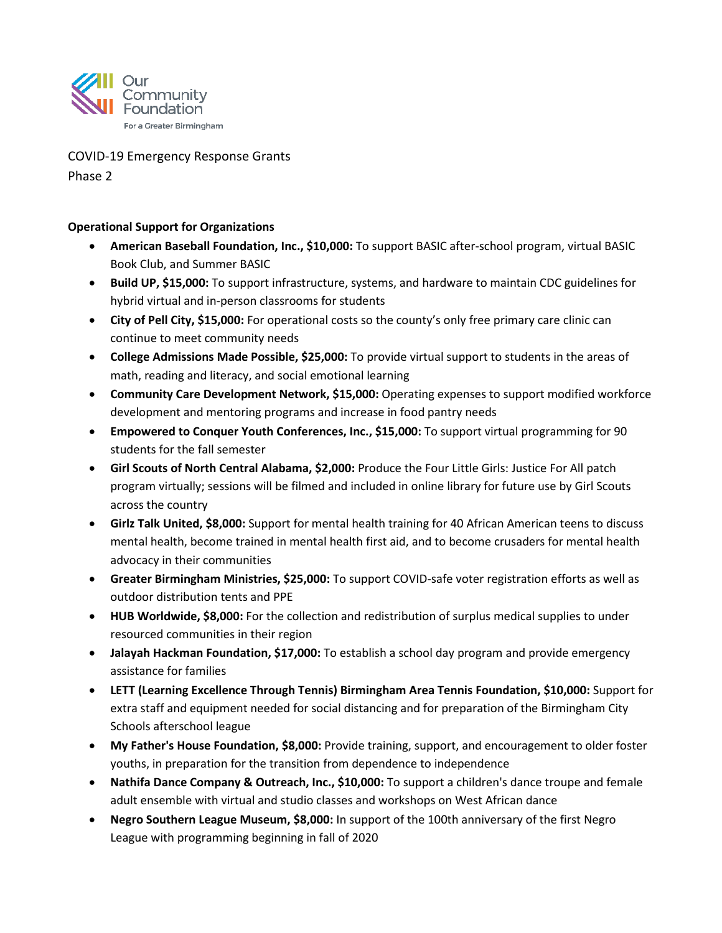

COVID-19 Emergency Response Grants

Phase 2

## **Operational Support for Organizations**

- **American Baseball Foundation, Inc., \$10,000:** To support BASIC after-school program, virtual BASIC Book Club, and Summer BASIC
- **Build UP, \$15,000:** To support infrastructure, systems, and hardware to maintain CDC guidelines for hybrid virtual and in-person classrooms for students
- **City of Pell City, \$15,000:** For operational costs so the county's only free primary care clinic can continue to meet community needs
- **College Admissions Made Possible, \$25,000:** To provide virtual support to students in the areas of math, reading and literacy, and social emotional learning
- **Community Care Development Network, \$15,000:** Operating expenses to support modified workforce development and mentoring programs and increase in food pantry needs
- **Empowered to Conquer Youth Conferences, Inc., \$15,000:** To support virtual programming for 90 students for the fall semester
- **Girl Scouts of North Central Alabama, \$2,000:** Produce the Four Little Girls: Justice For All patch program virtually; sessions will be filmed and included in online library for future use by Girl Scouts across the country
- **Girlz Talk United, \$8,000:** Support for mental health training for 40 African American teens to discuss mental health, become trained in mental health first aid, and to become crusaders for mental health advocacy in their communities
- **Greater Birmingham Ministries, \$25,000:** To support COVID-safe voter registration efforts as well as outdoor distribution tents and PPE
- **HUB Worldwide, \$8,000:** For the collection and redistribution of surplus medical supplies to under resourced communities in their region
- **Jalayah Hackman Foundation, \$17,000:** To establish a school day program and provide emergency assistance for families
- **LETT (Learning Excellence Through Tennis) Birmingham Area Tennis Foundation, \$10,000:** Support for extra staff and equipment needed for social distancing and for preparation of the Birmingham City Schools afterschool league
- **My Father's House Foundation, \$8,000:** Provide training, support, and encouragement to older foster youths, in preparation for the transition from dependence to independence
- **Nathifa Dance Company & Outreach, Inc., \$10,000:** To support a children's dance troupe and female adult ensemble with virtual and studio classes and workshops on West African dance
- **Negro Southern League Museum, \$8,000:** In support of the 100th anniversary of the first Negro League with programming beginning in fall of 2020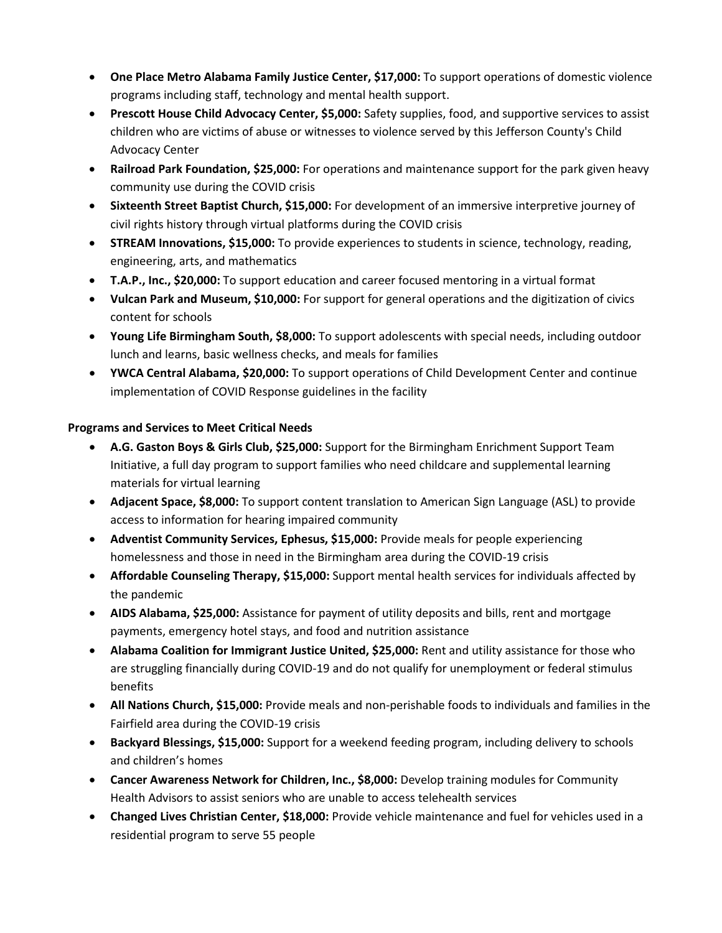- **One Place Metro Alabama Family Justice Center, \$17,000:** To support operations of domestic violence programs including staff, technology and mental health support.
- **Prescott House Child Advocacy Center, \$5,000:** Safety supplies, food, and supportive services to assist children who are victims of abuse or witnesses to violence served by this Jefferson County's Child Advocacy Center
- **Railroad Park Foundation, \$25,000:** For operations and maintenance support for the park given heavy community use during the COVID crisis
- **Sixteenth Street Baptist Church, \$15,000:** For development of an immersive interpretive journey of civil rights history through virtual platforms during the COVID crisis
- **STREAM Innovations, \$15,000:** To provide experiences to students in science, technology, reading, engineering, arts, and mathematics
- **T.A.P., Inc., \$20,000:** To support education and career focused mentoring in a virtual format
- **Vulcan Park and Museum, \$10,000:** For support for general operations and the digitization of civics content for schools
- **Young Life Birmingham South, \$8,000:** To support adolescents with special needs, including outdoor lunch and learns, basic wellness checks, and meals for families
- **YWCA Central Alabama, \$20,000:** To support operations of Child Development Center and continue implementation of COVID Response guidelines in the facility

## **Programs and Services to Meet Critical Needs**

- **A.G. Gaston Boys & Girls Club, \$25,000:** Support for the Birmingham Enrichment Support Team Initiative, a full day program to support families who need childcare and supplemental learning materials for virtual learning
- **Adjacent Space, \$8,000:** To support content translation to American Sign Language (ASL) to provide access to information for hearing impaired community
- **Adventist Community Services, Ephesus, \$15,000:** Provide meals for people experiencing homelessness and those in need in the Birmingham area during the COVID-19 crisis
- **Affordable Counseling Therapy, \$15,000:** Support mental health services for individuals affected by the pandemic
- **AIDS Alabama, \$25,000:** Assistance for payment of utility deposits and bills, rent and mortgage payments, emergency hotel stays, and food and nutrition assistance
- **Alabama Coalition for Immigrant Justice United, \$25,000:** Rent and utility assistance for those who are struggling financially during COVID-19 and do not qualify for unemployment or federal stimulus benefits
- **All Nations Church, \$15,000:** Provide meals and non-perishable foods to individuals and families in the Fairfield area during the COVID-19 crisis
- **Backyard Blessings, \$15,000:** Support for a weekend feeding program, including delivery to schools and children's homes
- **Cancer Awareness Network for Children, Inc., \$8,000:** Develop training modules for Community Health Advisors to assist seniors who are unable to access telehealth services
- **Changed Lives Christian Center, \$18,000:** Provide vehicle maintenance and fuel for vehicles used in a residential program to serve 55 people